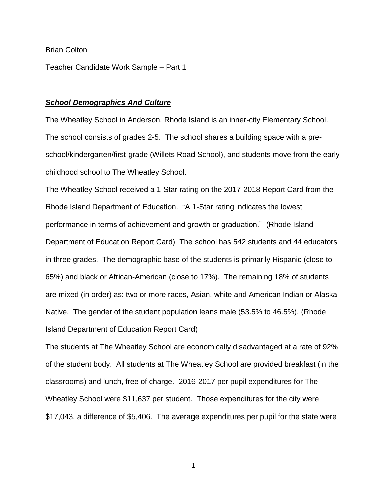## Brian Colton

Teacher Candidate Work Sample – Part 1

## *School Demographics And Culture*

The Wheatley School in Anderson, Rhode Island is an inner-city Elementary School. The school consists of grades 2-5. The school shares a building space with a preschool/kindergarten/first-grade (Willets Road School), and students move from the early childhood school to The Wheatley School.

The Wheatley School received a 1-Star rating on the 2017-2018 Report Card from the Rhode Island Department of Education. "A 1-Star rating indicates the lowest performance in terms of achievement and growth or graduation." (Rhode Island Department of Education Report Card) The school has 542 students and 44 educators in three grades. The demographic base of the students is primarily Hispanic (close to 65%) and black or African-American (close to 17%). The remaining 18% of students are mixed (in order) as: two or more races, Asian, white and American Indian or Alaska Native. The gender of the student population leans male (53.5% to 46.5%). (Rhode Island Department of Education Report Card)

The students at The Wheatley School are economically disadvantaged at a rate of 92% of the student body. All students at The Wheatley School are provided breakfast (in the classrooms) and lunch, free of charge. 2016-2017 per pupil expenditures for The Wheatley School were \$11,637 per student. Those expenditures for the city were \$17,043, a difference of \$5,406. The average expenditures per pupil for the state were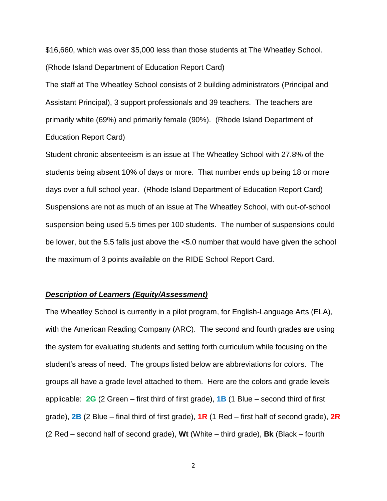\$16,660, which was over \$5,000 less than those students at The Wheatley School. (Rhode Island Department of Education Report Card)

The staff at The Wheatley School consists of 2 building administrators (Principal and Assistant Principal), 3 support professionals and 39 teachers. The teachers are primarily white (69%) and primarily female (90%). (Rhode Island Department of Education Report Card)

Student chronic absenteeism is an issue at The Wheatley School with 27.8% of the students being absent 10% of days or more. That number ends up being 18 or more days over a full school year. (Rhode Island Department of Education Report Card) Suspensions are not as much of an issue at The Wheatley School, with out-of-school suspension being used 5.5 times per 100 students. The number of suspensions could be lower, but the 5.5 falls just above the <5.0 number that would have given the school the maximum of 3 points available on the RIDE School Report Card.

## *Description of Learners (Equity/Assessment)*

The Wheatley School is currently in a pilot program, for English-Language Arts (ELA), with the American Reading Company (ARC). The second and fourth grades are using the system for evaluating students and setting forth curriculum while focusing on the student's areas of need. The groups listed below are abbreviations for colors. The groups all have a grade level attached to them. Here are the colors and grade levels applicable: **2G** (2 Green – first third of first grade), **1B** (1 Blue – second third of first grade), **2B** (2 Blue – final third of first grade), **1R** (1 Red – first half of second grade), **2R** (2 Red – second half of second grade), **Wt** (White – third grade), **Bk** (Black – fourth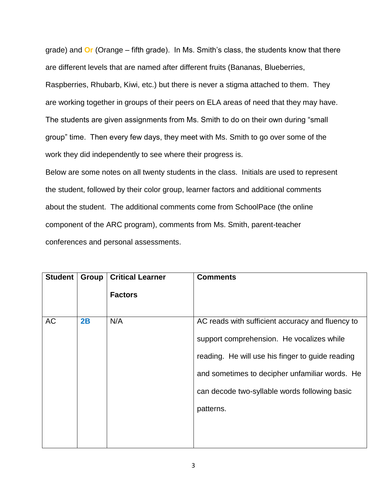grade) and **Or** (Orange – fifth grade). In Ms. Smith's class, the students know that there are different levels that are named after different fruits (Bananas, Blueberries, Raspberries, Rhubarb, Kiwi, etc.) but there is never a stigma attached to them. They are working together in groups of their peers on ELA areas of need that they may have. The students are given assignments from Ms. Smith to do on their own during "small group" time. Then every few days, they meet with Ms. Smith to go over some of the work they did independently to see where their progress is.

Below are some notes on all twenty students in the class. Initials are used to represent the student, followed by their color group, learner factors and additional comments about the student. The additional comments come from SchoolPace (the online component of the ARC program), comments from Ms. Smith, parent-teacher conferences and personal assessments.

| <b>Student</b> | Group | <b>Critical Learner</b> | <b>Comments</b>                                  |
|----------------|-------|-------------------------|--------------------------------------------------|
|                |       | <b>Factors</b>          |                                                  |
| <b>AC</b>      | 2B    | N/A                     | AC reads with sufficient accuracy and fluency to |
|                |       |                         | support comprehension. He vocalizes while        |
|                |       |                         | reading. He will use his finger to guide reading |
|                |       |                         | and sometimes to decipher unfamiliar words. He   |
|                |       |                         | can decode two-syllable words following basic    |
|                |       |                         | patterns.                                        |
|                |       |                         |                                                  |
|                |       |                         |                                                  |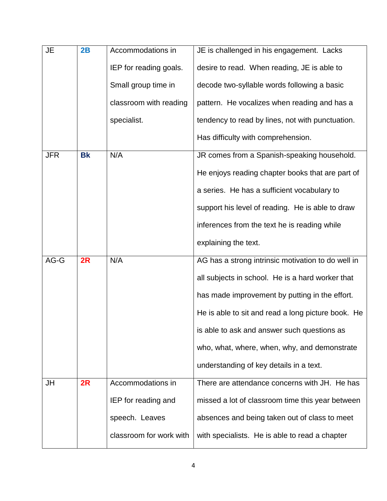| <b>JE</b>  | 2B        | Accommodations in       | JE is challenged in his engagement. Lacks          |
|------------|-----------|-------------------------|----------------------------------------------------|
|            |           | IEP for reading goals.  | desire to read. When reading, JE is able to        |
|            |           | Small group time in     | decode two-syllable words following a basic        |
|            |           | classroom with reading  | pattern. He vocalizes when reading and has a       |
|            |           | specialist.             | tendency to read by lines, not with punctuation.   |
|            |           |                         | Has difficulty with comprehension.                 |
| <b>JFR</b> | <b>Bk</b> | N/A                     | JR comes from a Spanish-speaking household.        |
|            |           |                         | He enjoys reading chapter books that are part of   |
|            |           |                         | a series. He has a sufficient vocabulary to        |
|            |           |                         | support his level of reading. He is able to draw   |
|            |           |                         | inferences from the text he is reading while       |
|            |           |                         | explaining the text.                               |
| AG-G       | 2R        | N/A                     | AG has a strong intrinsic motivation to do well in |
|            |           |                         | all subjects in school. He is a hard worker that   |
|            |           |                         | has made improvement by putting in the effort.     |
|            |           |                         | He is able to sit and read a long picture book. He |
|            |           |                         | is able to ask and answer such questions as        |
|            |           |                         | who, what, where, when, why, and demonstrate       |
|            |           |                         | understanding of key details in a text.            |
| JH         | 2R        | Accommodations in       | There are attendance concerns with JH. He has      |
|            |           | IEP for reading and     | missed a lot of classroom time this year between   |
|            |           | speech. Leaves          | absences and being taken out of class to meet      |
|            |           | classroom for work with | with specialists. He is able to read a chapter     |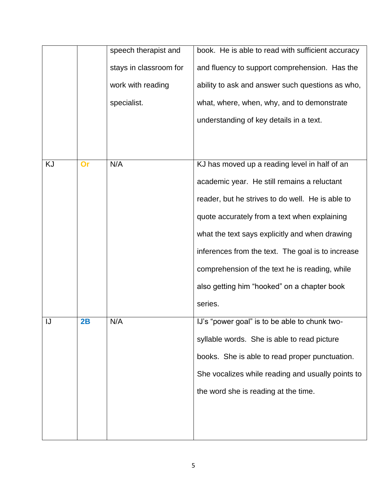|    |    | speech therapist and   | book. He is able to read with sufficient accuracy |
|----|----|------------------------|---------------------------------------------------|
|    |    | stays in classroom for | and fluency to support comprehension. Has the     |
|    |    | work with reading      | ability to ask and answer such questions as who,  |
|    |    | specialist.            | what, where, when, why, and to demonstrate        |
|    |    |                        | understanding of key details in a text.           |
|    |    |                        |                                                   |
|    |    |                        |                                                   |
| KJ | Or | N/A                    | KJ has moved up a reading level in half of an     |
|    |    |                        | academic year. He still remains a reluctant       |
|    |    |                        | reader, but he strives to do well. He is able to  |
|    |    |                        | quote accurately from a text when explaining      |
|    |    |                        | what the text says explicitly and when drawing    |
|    |    |                        | inferences from the text. The goal is to increase |
|    |    |                        | comprehension of the text he is reading, while    |
|    |    |                        | also getting him "hooked" on a chapter book       |
|    |    |                        | series.                                           |
| IJ | 2B | N/A                    | IJ's "power goal" is to be able to chunk two-     |
|    |    |                        | syllable words. She is able to read picture       |
|    |    |                        | books. She is able to read proper punctuation.    |
|    |    |                        | She vocalizes while reading and usually points to |
|    |    |                        | the word she is reading at the time.              |
|    |    |                        |                                                   |
|    |    |                        |                                                   |
|    |    |                        |                                                   |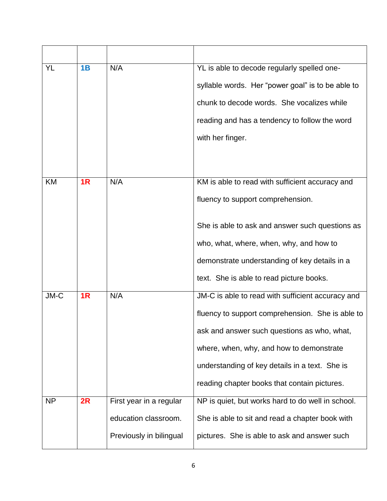| YL        | 1B | N/A                     | YL is able to decode regularly spelled one-       |
|-----------|----|-------------------------|---------------------------------------------------|
|           |    |                         | syllable words. Her "power goal" is to be able to |
|           |    |                         | chunk to decode words. She vocalizes while        |
|           |    |                         | reading and has a tendency to follow the word     |
|           |    |                         | with her finger.                                  |
|           |    |                         |                                                   |
|           |    |                         |                                                   |
| KM        | 1R | N/A                     | KM is able to read with sufficient accuracy and   |
|           |    |                         | fluency to support comprehension.                 |
|           |    |                         | She is able to ask and answer such questions as   |
|           |    |                         | who, what, where, when, why, and how to           |
|           |    |                         | demonstrate understanding of key details in a     |
|           |    |                         |                                                   |
|           |    |                         | text. She is able to read picture books.          |
| JM-C      | 1R | N/A                     | JM-C is able to read with sufficient accuracy and |
|           |    |                         | fluency to support comprehension. She is able to  |
|           |    |                         | ask and answer such questions as who, what,       |
|           |    |                         | where, when, why, and how to demonstrate          |
|           |    |                         | understanding of key details in a text. She is    |
|           |    |                         | reading chapter books that contain pictures.      |
| <b>NP</b> | 2R | First year in a regular | NP is quiet, but works hard to do well in school. |
|           |    | education classroom.    | She is able to sit and read a chapter book with   |
|           |    | Previously in bilingual | pictures. She is able to ask and answer such      |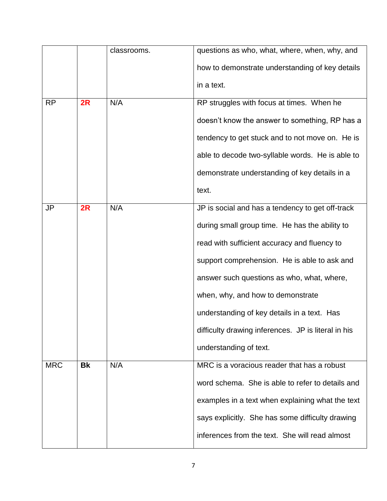|            |           | classrooms. | questions as who, what, where, when, why, and       |
|------------|-----------|-------------|-----------------------------------------------------|
|            |           |             | how to demonstrate understanding of key details     |
|            |           |             | in a text.                                          |
| <b>RP</b>  | 2R        | N/A         | RP struggles with focus at times. When he           |
|            |           |             | doesn't know the answer to something, RP has a      |
|            |           |             | tendency to get stuck and to not move on. He is     |
|            |           |             | able to decode two-syllable words. He is able to    |
|            |           |             | demonstrate understanding of key details in a       |
|            |           |             | text.                                               |
| JP         | 2R        | N/A         | JP is social and has a tendency to get off-track    |
|            |           |             | during small group time. He has the ability to      |
|            |           |             | read with sufficient accuracy and fluency to        |
|            |           |             | support comprehension. He is able to ask and        |
|            |           |             | answer such questions as who, what, where,          |
|            |           |             | when, why, and how to demonstrate                   |
|            |           |             | understanding of key details in a text. Has         |
|            |           |             | difficulty drawing inferences. JP is literal in his |
|            |           |             | understanding of text.                              |
| <b>MRC</b> | <b>Bk</b> | N/A         | MRC is a voracious reader that has a robust         |
|            |           |             | word schema. She is able to refer to details and    |
|            |           |             | examples in a text when explaining what the text    |
|            |           |             | says explicitly. She has some difficulty drawing    |
|            |           |             | inferences from the text. She will read almost      |
|            |           |             |                                                     |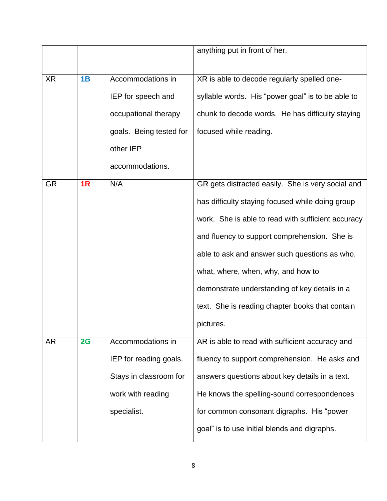|           |    |                         | anything put in front of her.                      |
|-----------|----|-------------------------|----------------------------------------------------|
|           |    |                         |                                                    |
| XR        | 1B | Accommodations in       | XR is able to decode regularly spelled one-        |
|           |    | IEP for speech and      | syllable words. His "power goal" is to be able to  |
|           |    | occupational therapy    | chunk to decode words. He has difficulty staying   |
|           |    | goals. Being tested for | focused while reading.                             |
|           |    | other IEP               |                                                    |
|           |    | accommodations.         |                                                    |
| <b>GR</b> | 1R | N/A                     | GR gets distracted easily. She is very social and  |
|           |    |                         | has difficulty staying focused while doing group   |
|           |    |                         | work. She is able to read with sufficient accuracy |
|           |    |                         | and fluency to support comprehension. She is       |
|           |    |                         | able to ask and answer such questions as who,      |
|           |    |                         | what, where, when, why, and how to                 |
|           |    |                         | demonstrate understanding of key details in a      |
|           |    |                         | text. She is reading chapter books that contain    |
|           |    |                         | pictures.                                          |
| AR        | 2G | Accommodations in       | AR is able to read with sufficient accuracy and    |
|           |    | IEP for reading goals.  | fluency to support comprehension. He asks and      |
|           |    | Stays in classroom for  | answers questions about key details in a text.     |
|           |    | work with reading       | He knows the spelling-sound correspondences        |
|           |    | specialist.             | for common consonant digraphs. His "power          |
|           |    |                         | goal" is to use initial blends and digraphs.       |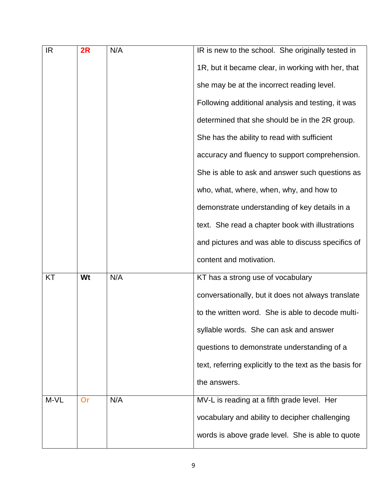| IR.  | 2R | N/A | IR is new to the school. She originally tested in       |
|------|----|-----|---------------------------------------------------------|
|      |    |     | 1R, but it became clear, in working with her, that      |
|      |    |     | she may be at the incorrect reading level.              |
|      |    |     | Following additional analysis and testing, it was       |
|      |    |     | determined that she should be in the 2R group.          |
|      |    |     | She has the ability to read with sufficient             |
|      |    |     | accuracy and fluency to support comprehension.          |
|      |    |     | She is able to ask and answer such questions as         |
|      |    |     | who, what, where, when, why, and how to                 |
|      |    |     | demonstrate understanding of key details in a           |
|      |    |     | text. She read a chapter book with illustrations        |
|      |    |     | and pictures and was able to discuss specifics of       |
|      |    |     | content and motivation.                                 |
| ΚT   | Wt | N/A | KT has a strong use of vocabulary                       |
|      |    |     | conversationally, but it does not always translate      |
|      |    |     | to the written word. She is able to decode multi-       |
|      |    |     | syllable words. She can ask and answer                  |
|      |    |     | questions to demonstrate understanding of a             |
|      |    |     | text, referring explicitly to the text as the basis for |
|      |    |     | the answers.                                            |
| M-VL | Or | N/A | MV-L is reading at a fifth grade level. Her             |
|      |    |     | vocabulary and ability to decipher challenging          |
|      |    |     | words is above grade level. She is able to quote        |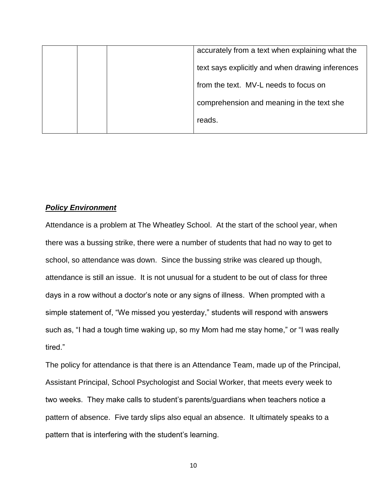|  | accurately from a text when explaining what the  |
|--|--------------------------------------------------|
|  | text says explicitly and when drawing inferences |
|  | from the text. MV-L needs to focus on            |
|  | comprehension and meaning in the text she        |
|  | reads.                                           |
|  |                                                  |

## *Policy Environment*

Attendance is a problem at The Wheatley School. At the start of the school year, when there was a bussing strike, there were a number of students that had no way to get to school, so attendance was down. Since the bussing strike was cleared up though, attendance is still an issue. It is not unusual for a student to be out of class for three days in a row without a doctor's note or any signs of illness. When prompted with a simple statement of, "We missed you yesterday," students will respond with answers such as, "I had a tough time waking up, so my Mom had me stay home," or "I was really tired."

The policy for attendance is that there is an Attendance Team, made up of the Principal, Assistant Principal, School Psychologist and Social Worker, that meets every week to two weeks. They make calls to student's parents/guardians when teachers notice a pattern of absence. Five tardy slips also equal an absence. It ultimately speaks to a pattern that is interfering with the student's learning.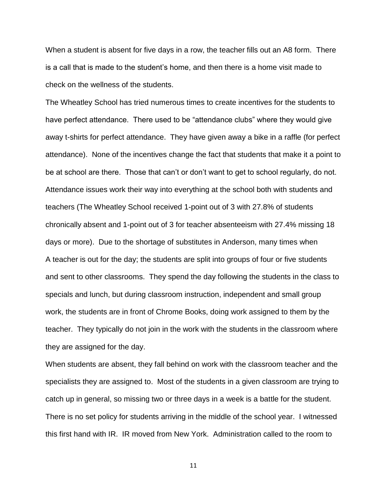When a student is absent for five days in a row, the teacher fills out an A8 form. There is a call that is made to the student's home, and then there is a home visit made to check on the wellness of the students.

The Wheatley School has tried numerous times to create incentives for the students to have perfect attendance. There used to be "attendance clubs" where they would give away t-shirts for perfect attendance. They have given away a bike in a raffle (for perfect attendance). None of the incentives change the fact that students that make it a point to be at school are there. Those that can't or don't want to get to school regularly, do not. Attendance issues work their way into everything at the school both with students and teachers (The Wheatley School received 1-point out of 3 with 27.8% of students chronically absent and 1-point out of 3 for teacher absenteeism with 27.4% missing 18 days or more). Due to the shortage of substitutes in Anderson, many times when A teacher is out for the day; the students are split into groups of four or five students and sent to other classrooms. They spend the day following the students in the class to specials and lunch, but during classroom instruction, independent and small group work, the students are in front of Chrome Books, doing work assigned to them by the teacher. They typically do not join in the work with the students in the classroom where they are assigned for the day.

When students are absent, they fall behind on work with the classroom teacher and the specialists they are assigned to. Most of the students in a given classroom are trying to catch up in general, so missing two or three days in a week is a battle for the student. There is no set policy for students arriving in the middle of the school year. I witnessed this first hand with IR. IR moved from New York. Administration called to the room to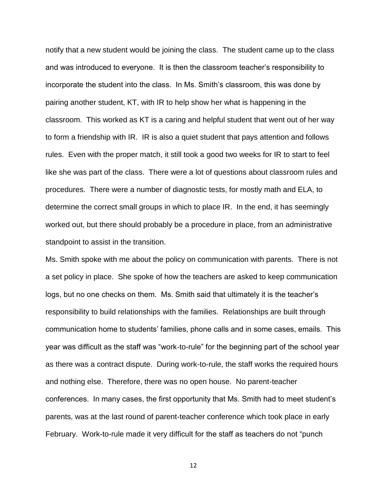notify that a new student would be joining the class. The student came up to the class and was introduced to everyone. It is then the classroom teacher's responsibility to incorporate the student into the class. In Ms. Smith's classroom, this was done by pairing another student, KT, with IR to help show her what is happening in the classroom. This worked as KT is a caring and helpful student that went out of her way to form a friendship with IR. IR is also a quiet student that pays attention and follows rules. Even with the proper match, it still took a good two weeks for IR to start to feel like she was part of the class. There were a lot of questions about classroom rules and procedures. There were a number of diagnostic tests, for mostly math and ELA, to determine the correct small groups in which to place IR. In the end, it has seemingly worked out, but there should probably be a procedure in place, from an administrative standpoint to assist in the transition.

Ms. Smith spoke with me about the policy on communication with parents. There is not a set policy in place. She spoke of how the teachers are asked to keep communication logs, but no one checks on them. Ms. Smith said that ultimately it is the teacher's responsibility to build relationships with the families. Relationships are built through communication home to students' families, phone calls and in some cases, emails. This year was difficult as the staff was "work-to-rule" for the beginning part of the school year as there was a contract dispute. During work-to-rule, the staff works the required hours and nothing else. Therefore, there was no open house. No parent-teacher conferences. In many cases, the first opportunity that Ms. Smith had to meet student's parents, was at the last round of parent-teacher conference which took place in early February. Work-to-rule made it very difficult for the staff as teachers do not "punch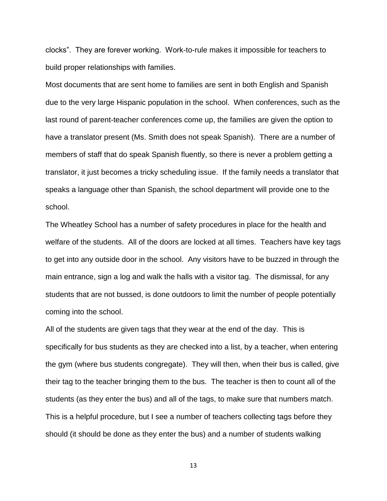clocks". They are forever working. Work-to-rule makes it impossible for teachers to build proper relationships with families.

Most documents that are sent home to families are sent in both English and Spanish due to the very large Hispanic population in the school. When conferences, such as the last round of parent-teacher conferences come up, the families are given the option to have a translator present (Ms. Smith does not speak Spanish). There are a number of members of staff that do speak Spanish fluently, so there is never a problem getting a translator, it just becomes a tricky scheduling issue. If the family needs a translator that speaks a language other than Spanish, the school department will provide one to the school.

The Wheatley School has a number of safety procedures in place for the health and welfare of the students. All of the doors are locked at all times. Teachers have key tags to get into any outside door in the school. Any visitors have to be buzzed in through the main entrance, sign a log and walk the halls with a visitor tag. The dismissal, for any students that are not bussed, is done outdoors to limit the number of people potentially coming into the school.

All of the students are given tags that they wear at the end of the day. This is specifically for bus students as they are checked into a list, by a teacher, when entering the gym (where bus students congregate). They will then, when their bus is called, give their tag to the teacher bringing them to the bus. The teacher is then to count all of the students (as they enter the bus) and all of the tags, to make sure that numbers match. This is a helpful procedure, but I see a number of teachers collecting tags before they should (it should be done as they enter the bus) and a number of students walking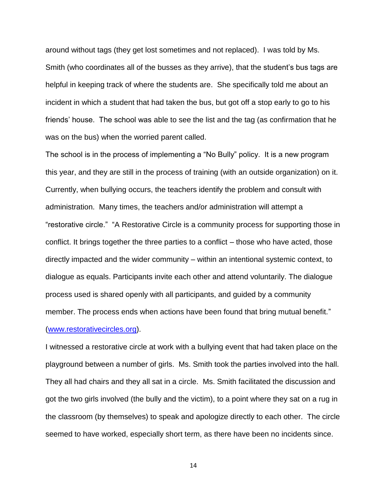around without tags (they get lost sometimes and not replaced). I was told by Ms. Smith (who coordinates all of the busses as they arrive), that the student's bus tags are helpful in keeping track of where the students are. She specifically told me about an incident in which a student that had taken the bus, but got off a stop early to go to his friends' house. The school was able to see the list and the tag (as confirmation that he was on the bus) when the worried parent called.

The school is in the process of implementing a "No Bully" policy. It is a new program this year, and they are still in the process of training (with an outside organization) on it. Currently, when bullying occurs, the teachers identify the problem and consult with administration. Many times, the teachers and/or administration will attempt a "restorative circle." "A Restorative Circle is a community process for supporting those in conflict. It brings together the three parties to a conflict – those who have acted, those directly impacted and the wider community – within an intentional systemic context, to dialogue as equals. Participants invite each other and attend voluntarily. The dialogue process used is shared openly with all participants, and guided by a community member. The process ends when actions have been found that bring mutual benefit." [\(www.restorativecircles.org\)](http://www.restorativecircles.org/).

I witnessed a restorative circle at work with a bullying event that had taken place on the playground between a number of girls. Ms. Smith took the parties involved into the hall. They all had chairs and they all sat in a circle. Ms. Smith facilitated the discussion and got the two girls involved (the bully and the victim), to a point where they sat on a rug in the classroom (by themselves) to speak and apologize directly to each other. The circle seemed to have worked, especially short term, as there have been no incidents since.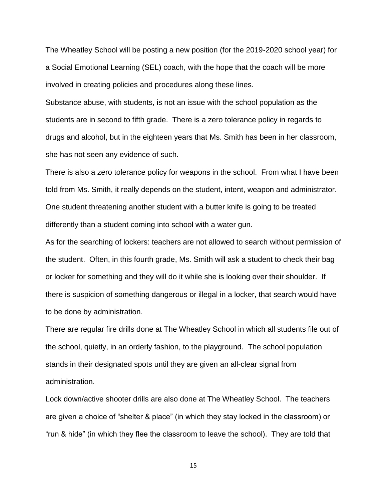The Wheatley School will be posting a new position (for the 2019-2020 school year) for a Social Emotional Learning (SEL) coach, with the hope that the coach will be more involved in creating policies and procedures along these lines.

Substance abuse, with students, is not an issue with the school population as the students are in second to fifth grade. There is a zero tolerance policy in regards to drugs and alcohol, but in the eighteen years that Ms. Smith has been in her classroom, she has not seen any evidence of such.

There is also a zero tolerance policy for weapons in the school. From what I have been told from Ms. Smith, it really depends on the student, intent, weapon and administrator. One student threatening another student with a butter knife is going to be treated differently than a student coming into school with a water gun.

As for the searching of lockers: teachers are not allowed to search without permission of the student. Often, in this fourth grade, Ms. Smith will ask a student to check their bag or locker for something and they will do it while she is looking over their shoulder. If there is suspicion of something dangerous or illegal in a locker, that search would have to be done by administration.

There are regular fire drills done at The Wheatley School in which all students file out of the school, quietly, in an orderly fashion, to the playground. The school population stands in their designated spots until they are given an all-clear signal from administration.

Lock down/active shooter drills are also done at The Wheatley School. The teachers are given a choice of "shelter & place" (in which they stay locked in the classroom) or "run & hide" (in which they flee the classroom to leave the school). They are told that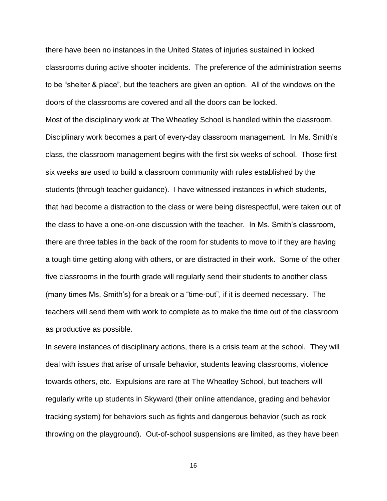there have been no instances in the United States of injuries sustained in locked classrooms during active shooter incidents. The preference of the administration seems to be "shelter & place", but the teachers are given an option. All of the windows on the doors of the classrooms are covered and all the doors can be locked.

Most of the disciplinary work at The Wheatley School is handled within the classroom. Disciplinary work becomes a part of every-day classroom management. In Ms. Smith's class, the classroom management begins with the first six weeks of school. Those first six weeks are used to build a classroom community with rules established by the students (through teacher guidance). I have witnessed instances in which students, that had become a distraction to the class or were being disrespectful, were taken out of the class to have a one-on-one discussion with the teacher. In Ms. Smith's classroom, there are three tables in the back of the room for students to move to if they are having a tough time getting along with others, or are distracted in their work. Some of the other five classrooms in the fourth grade will regularly send their students to another class (many times Ms. Smith's) for a break or a "time-out", if it is deemed necessary. The teachers will send them with work to complete as to make the time out of the classroom as productive as possible.

In severe instances of disciplinary actions, there is a crisis team at the school. They will deal with issues that arise of unsafe behavior, students leaving classrooms, violence towards others, etc. Expulsions are rare at The Wheatley School, but teachers will regularly write up students in Skyward (their online attendance, grading and behavior tracking system) for behaviors such as fights and dangerous behavior (such as rock throwing on the playground). Out-of-school suspensions are limited, as they have been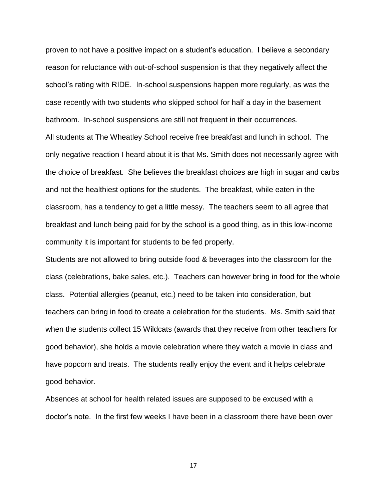proven to not have a positive impact on a student's education. I believe a secondary reason for reluctance with out-of-school suspension is that they negatively affect the school's rating with RIDE. In-school suspensions happen more regularly, as was the case recently with two students who skipped school for half a day in the basement bathroom. In-school suspensions are still not frequent in their occurrences. All students at The Wheatley School receive free breakfast and lunch in school. The

only negative reaction I heard about it is that Ms. Smith does not necessarily agree with the choice of breakfast. She believes the breakfast choices are high in sugar and carbs and not the healthiest options for the students. The breakfast, while eaten in the classroom, has a tendency to get a little messy. The teachers seem to all agree that breakfast and lunch being paid for by the school is a good thing, as in this low-income community it is important for students to be fed properly.

Students are not allowed to bring outside food & beverages into the classroom for the class (celebrations, bake sales, etc.). Teachers can however bring in food for the whole class. Potential allergies (peanut, etc.) need to be taken into consideration, but teachers can bring in food to create a celebration for the students. Ms. Smith said that when the students collect 15 Wildcats (awards that they receive from other teachers for good behavior), she holds a movie celebration where they watch a movie in class and have popcorn and treats. The students really enjoy the event and it helps celebrate good behavior.

Absences at school for health related issues are supposed to be excused with a doctor's note. In the first few weeks I have been in a classroom there have been over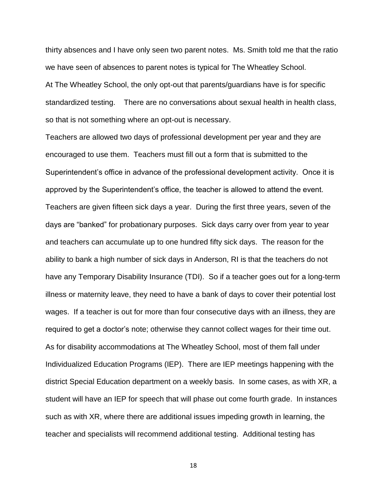thirty absences and I have only seen two parent notes. Ms. Smith told me that the ratio we have seen of absences to parent notes is typical for The Wheatley School. At The Wheatley School, the only opt-out that parents/guardians have is for specific standardized testing. There are no conversations about sexual health in health class, so that is not something where an opt-out is necessary.

Teachers are allowed two days of professional development per year and they are encouraged to use them. Teachers must fill out a form that is submitted to the Superintendent's office in advance of the professional development activity. Once it is approved by the Superintendent's office, the teacher is allowed to attend the event. Teachers are given fifteen sick days a year. During the first three years, seven of the days are "banked" for probationary purposes. Sick days carry over from year to year and teachers can accumulate up to one hundred fifty sick days. The reason for the ability to bank a high number of sick days in Anderson, RI is that the teachers do not have any Temporary Disability Insurance (TDI). So if a teacher goes out for a long-term illness or maternity leave, they need to have a bank of days to cover their potential lost wages. If a teacher is out for more than four consecutive days with an illness, they are required to get a doctor's note; otherwise they cannot collect wages for their time out. As for disability accommodations at The Wheatley School, most of them fall under Individualized Education Programs (IEP). There are IEP meetings happening with the district Special Education department on a weekly basis. In some cases, as with XR, a student will have an IEP for speech that will phase out come fourth grade. In instances such as with XR, where there are additional issues impeding growth in learning, the teacher and specialists will recommend additional testing. Additional testing has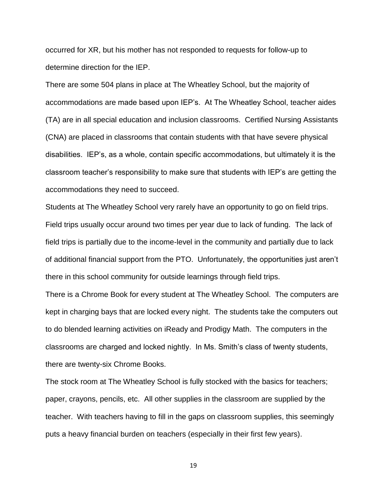occurred for XR, but his mother has not responded to requests for follow-up to determine direction for the IEP.

There are some 504 plans in place at The Wheatley School, but the majority of accommodations are made based upon IEP's. At The Wheatley School, teacher aides (TA) are in all special education and inclusion classrooms. Certified Nursing Assistants (CNA) are placed in classrooms that contain students with that have severe physical disabilities. IEP's, as a whole, contain specific accommodations, but ultimately it is the classroom teacher's responsibility to make sure that students with IEP's are getting the accommodations they need to succeed.

Students at The Wheatley School very rarely have an opportunity to go on field trips. Field trips usually occur around two times per year due to lack of funding. The lack of field trips is partially due to the income-level in the community and partially due to lack of additional financial support from the PTO. Unfortunately, the opportunities just aren't there in this school community for outside learnings through field trips.

There is a Chrome Book for every student at The Wheatley School. The computers are kept in charging bays that are locked every night. The students take the computers out to do blended learning activities on iReady and Prodigy Math. The computers in the classrooms are charged and locked nightly. In Ms. Smith's class of twenty students, there are twenty-six Chrome Books.

The stock room at The Wheatley School is fully stocked with the basics for teachers; paper, crayons, pencils, etc. All other supplies in the classroom are supplied by the teacher. With teachers having to fill in the gaps on classroom supplies, this seemingly puts a heavy financial burden on teachers (especially in their first few years).